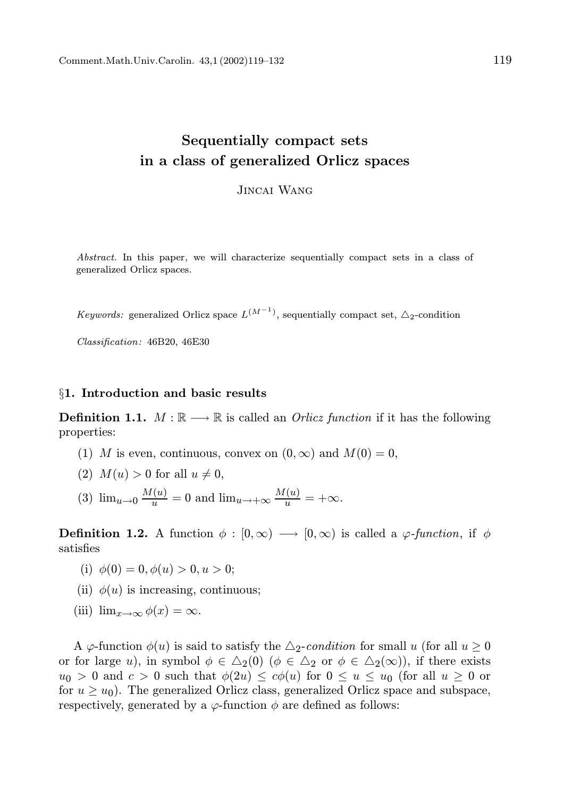Jincai Wang

Abstract. In this paper, we will characterize sequentially compact sets in a class of generalized Orlicz spaces.

*Keywords:* generalized Orlicz space  $L^{(M^{-1})}$ , sequentially compact set,  $\Delta_2$ -condition

Classification: 46B20, 46E30

### §1. Introduction and basic results

**Definition 1.1.**  $M : \mathbb{R} \longrightarrow \mathbb{R}$  is called an *Orlicz function* if it has the following properties:

- (1) M is even, continuous, convex on  $(0, \infty)$  and  $M(0) = 0$ ,
- (2)  $M(u) > 0$  for all  $u \neq 0$ ,
- (3)  $\lim_{u\to 0} \frac{M(u)}{u} = 0$  and  $\lim_{u\to +\infty} \frac{M(u)}{u} = +\infty$ .

**Definition 1.2.** A function  $\phi : [0, \infty) \longrightarrow [0, \infty)$  is called a  $\varphi$ -function, if  $\phi$ satisfies

- (i)  $\phi(0) = 0, \phi(u) > 0, u > 0;$
- (ii)  $\phi(u)$  is increasing, continuous;
- (iii)  $\lim_{x\to\infty}\phi(x)=\infty$ .

A  $\varphi$ -function  $\phi(u)$  is said to satisfy the  $\triangle$ <sub>2</sub>-condition for small u (for all  $u \ge 0$ ) or for large u), in symbol  $\phi \in \Delta_2(0)$  ( $\phi \in \Delta_2$  or  $\phi \in \Delta_2(\infty)$ ), if there exists  $u_0 > 0$  and  $c > 0$  such that  $\phi(2u) \leq c\phi(u)$  for  $0 \leq u \leq u_0$  (for all  $u \geq 0$  or for  $u \geq u_0$ ). The generalized Orlicz class, generalized Orlicz space and subspace, respectively, generated by a  $\varphi$ -function  $\phi$  are defined as follows: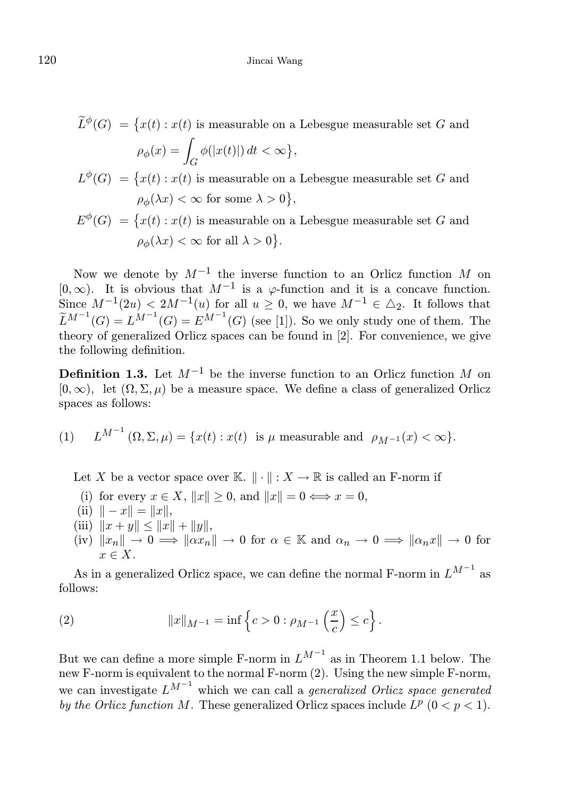$\widetilde{L}^{\phi}(G) = \big\{x(t): x(t) \text{ is measurable on a Lebesgue measurable set } G \text{ and }$ 

$$
\rho_{\phi}(x) = \int_G \phi(|x(t)|) dt < \infty \},\
$$

- $L^{\phi}(G) = \{x(t) : x(t)$  is measurable on a Lebesgue measurable set G and  $\rho_{\phi}(\lambda x) < \infty$  for some  $\lambda > 0$ ,
- $E^{\phi}(G) = \{x(t) : x(t)$  is measurable on a Lebesgue measurable set G and  $\rho_{\phi}(\lambda x) < \infty$  for all  $\lambda > 0$ .

Now we denote by  $M^{-1}$  the inverse function to an Orlicz function M on [0, ∞). It is obvious that  $M^{-1}$  is a  $\varphi$ -function and it is a concave function. Since  $M^{-1}(2u) < 2M^{-1}(u)$  for all  $u \geq 0$ , we have  $M^{-1} \in \Delta_2$ . It follows that  $\widetilde{L}^{M^{-1}}(G) = L^{M^{-1}}(G) = E^{M^{-1}}(G)$  (see [1]). So we only study one of them. The theory of generalized Orlicz spaces can be found in [2]. For convenience, we give the following definition.

**Definition 1.3.** Let  $M^{-1}$  be the inverse function to an Orlicz function M on  $[0, \infty)$ , let  $(\Omega, \Sigma, \mu)$  be a measure space. We define a class of generalized Orlicz spaces as follows:

 $(1)$  $^{M^{-1}}(\Omega, \Sigma, \mu) = \{x(t) : x(t) \text{ is } \mu \text{ measurable and } \rho_{M^{-1}}(x) < \infty\}.$ 

Let X be a vector space over K.  $\|\cdot\|: X \to \mathbb{R}$  is called an F-norm if

- (i) for every  $x \in X$ ,  $||x|| \ge 0$ , and  $||x|| = 0 \Longleftrightarrow x = 0$ ,
- (ii)  $\| x \| = \|x\|$ ,
- (iii)  $||x + y|| \le ||x|| + ||y||$ ,
- $\lim_{n \to \infty} ||x_n|| \to 0 \implies ||\alpha x_n|| \to 0$  for  $\alpha \in \mathbb{K}$  and  $\alpha_n \to 0 \implies ||\alpha_n x|| \to 0$  for  $x \in X$ .

As in a generalized Orlicz space, we can define the normal F-norm in  $L^{M^{-1}}$  as follows:

(2) 
$$
||x||_{M^{-1}} = \inf \left\{ c > 0 : \rho_{M^{-1}} \left( \frac{x}{c} \right) \leq c \right\}.
$$

But we can define a more simple F-norm in  $L^{M^{-1}}$  as in Theorem 1.1 below. The new F-norm is equivalent to the normal F-norm (2). Using the new simple F-norm, we can investigate  $L^{M^{-1}}$  which we can call a *generalized Orlicz space generated* by the Orlicz function M. These generalized Orlicz spaces include  $L^p$  ( $0 < p < 1$ ).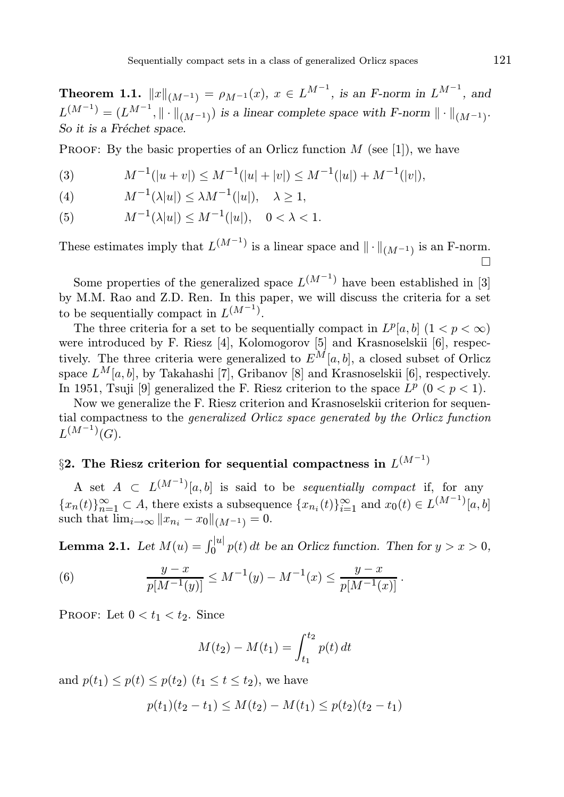**Theorem 1.1.**  $||x||_{(M^{-1})} = \rho_{M^{-1}}(x), x \in L^{M^{-1}}$ , is an F-norm in  $L^{M^{-1}}$ , and  $L^{(M^{-1})} = (L^{M^{-1}}, \|\cdot\|_{(M^{-1})})$  is a linear complete space with F-norm  $\|\cdot\|_{(M^{-1})}$ . So it is a Fréchet space.

PROOF: By the basic properties of an Orlicz function  $M$  (see [1]), we have

(3) 
$$
M^{-1}(|u + v|) \le M^{-1}(|u| + |v|) \le M^{-1}(|u|) + M^{-1}(|v|),
$$

(4) 
$$
M^{-1}(\lambda|u|) \leq \lambda M^{-1}(|u|), \quad \lambda \geq 1,
$$

(5) 
$$
M^{-1}(\lambda|u|) \le M^{-1}(|u|), \quad 0 < \lambda < 1.
$$

These estimates imply that  $L^{(M^{-1})}$  is a linear space and  $\|\cdot\|_{(M^{-1})}$  is an F-norm.  $\Box$ 

Some properties of the generalized space  $L^{(M^{-1})}$  have been established in [3] by M.M. Rao and Z.D. Ren. In this paper, we will discuss the criteria for a set to be sequentially compact in  $L^{(M^{-1})}$ .

The three criteria for a set to be sequentially compact in  $L^p[a, b]$   $(1 < p < \infty)$ were introduced by F. Riesz [4], Kolomogorov [5] and Krasnoselskii [6], respectively. The three criteria were generalized to  $E^M[a, b]$ , a closed subset of Orlicz space  $L^M[a, b]$ , by Takahashi [7], Gribanov [8] and Krasnoselskii [6], respectively. In 1951, Tsuji [9] generalized the F. Riesz criterion to the space  $L^p$  ( $0 < p < 1$ ).

Now we generalize the F. Riesz criterion and Krasnoselskii criterion for sequential compactness to the generalized Orlicz space generated by the Orlicz function  $L^{(M^{-1})}(G)$ .

# $\S 2.$  The Riesz criterion for sequential compactness in  $L^{(M^{-1})}$

A set  $A \subset L^{(M^{-1})}[a, b]$  is said to be sequentially compact if, for any  ${x_n(t)}_{n=1}^{\infty} \subset A$ , there exists a subsequence  ${x_{n_i}(t)}_{i=1}^{\infty}$  and  $x_0(t) \in L^{(M^{-1})}[a, b]$ such that  $\lim_{i\to\infty} ||x_{n_i} - x_0||_{(M^{-1})} = 0.$ 

**Lemma 2.1.** Let  $M(u) = \int_0^{|u|} p(t) dt$  be an Orlicz function. Then for  $y > x > 0$ ,

(6) 
$$
\frac{y-x}{p[M^{-1}(y)]} \leq M^{-1}(y) - M^{-1}(x) \leq \frac{y-x}{p[M^{-1}(x)]}.
$$

PROOF: Let  $0 < t_1 < t_2$ . Since

$$
M(t_2) - M(t_1) = \int_{t_1}^{t_2} p(t) dt
$$

and  $p(t_1) \leq p(t) \leq p(t_2)$   $(t_1 \leq t \leq t_2)$ , we have

$$
p(t_1)(t_2 - t_1) \leq M(t_2) - M(t_1) \leq p(t_2)(t_2 - t_1)
$$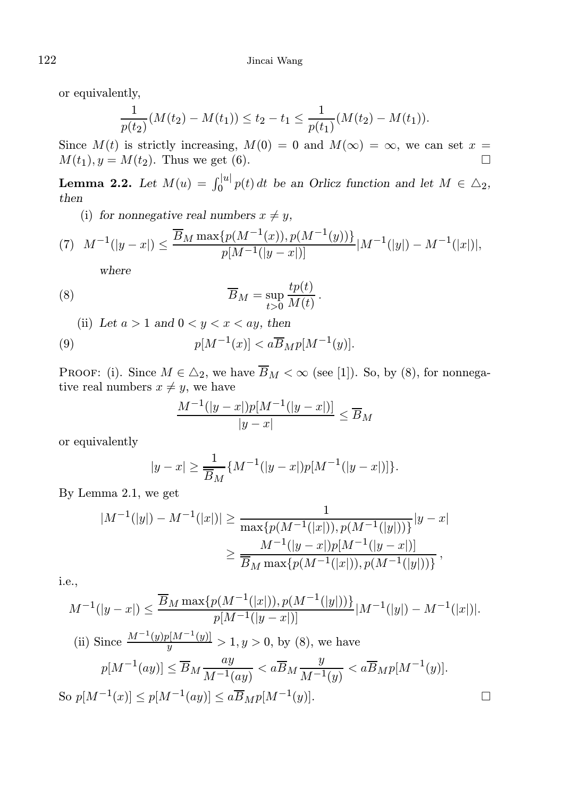or equivalently,

$$
\frac{1}{p(t_2)}(M(t_2) - M(t_1)) \le t_2 - t_1 \le \frac{1}{p(t_1)}(M(t_2) - M(t_1)).
$$

Since  $M(t)$  is strictly increasing,  $M(0) = 0$  and  $M(\infty) = \infty$ , we can set  $x = M(t_1)$   $y = M(t_2)$ . Thus we get (6)  $M(t_1), y = M(t_2)$ . Thus we get (6).

**Lemma 2.2.** Let  $M(u) = \int_0^{|u|} p(t) dt$  be an Orlicz function and let  $M \in \Delta_2$ , then

(i) for nonnegative real numbers  $x \neq y$ ,

(7) 
$$
M^{-1}(|y-x|) \le \frac{\overline{B}_M \max\{p(M^{-1}(x)), p(M^{-1}(y))\}}{p[M^{-1}(|y-x|)]} |M^{-1}(|y|) - M^{-1}(|x|)|,
$$

where

(8) 
$$
\overline{B}_M = \sup_{t>0} \frac{tp(t)}{M(t)}.
$$

(ii) Let  $a > 1$  and  $0 < y < x < ay$ , then

(9) 
$$
p[M^{-1}(x)] < a\overline{B}_M p[M^{-1}(y)].
$$

PROOF: (i). Since  $M \in \Delta_2$ , we have  $\overline{B}_M < \infty$  (see [1]). So, by (8), for nonnegative real numbers  $x \neq y$ , we have

$$
\frac{M^{-1}(|y-x|)p[M^{-1}(|y-x|)]}{|y-x|} \le \overline{B}_M
$$

or equivalently

$$
|y - x| \ge \frac{1}{\overline{B}_M} \{ M^{-1}(|y - x|) p[M^{-1}(|y - x|)] \}.
$$

By Lemma 2.1, we get

$$
|M^{-1}(|y|) - M^{-1}(|x|)| \ge \frac{1}{\max\{p(M^{-1}(|x|)), p(M^{-1}(|y|))\}} |y - x|
$$
  

$$
\ge \frac{M^{-1}(|y - x|)p[M^{-1}(|y - x|)]}{\overline{B}_M \max\{p(M^{-1}(|x|)), p(M^{-1}(|y|))\}},
$$

i.e.,

$$
M^{-1}(|y-x|) \le \frac{\overline{B}_M \max\{p(M^{-1}(|x|)), p(M^{-1}(|y|))\}}{p[M^{-1}(|y-x|)]} |M^{-1}(|y|) - M^{-1}(|x|)|.
$$
  
\n(ii) Since  $\frac{M^{-1}(y)p[M^{-1}(y)]}{y} > 1, y > 0$ , by (8), we have  
\n $p[M^{-1}(ay)] \le \overline{B}_M \frac{ay}{M^{-1}(ay)} < a\overline{B}_M \frac{y}{M^{-1}(y)} < a\overline{B}_M p[M^{-1}(y)].$   
\nSo  $p[M^{-1}(x)] \le p[M^{-1}(ay)] \le a\overline{B}_M p[M^{-1}(y)].$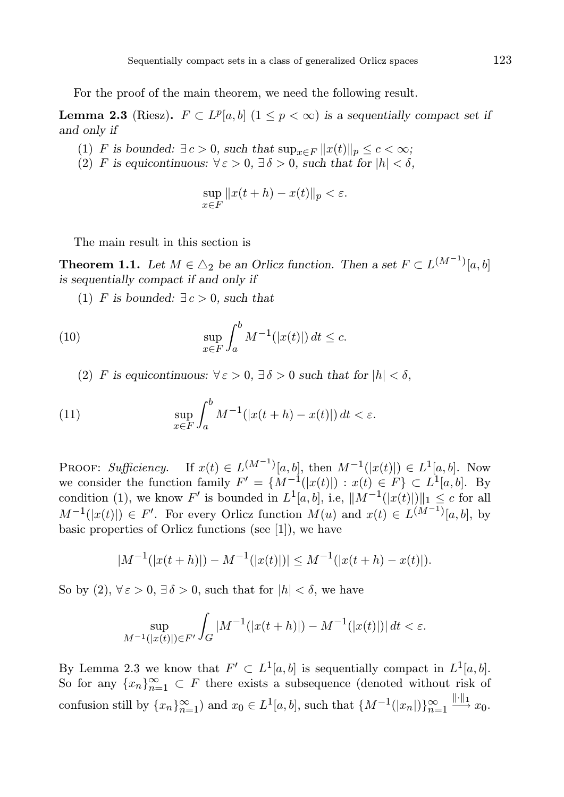For the proof of the main theorem, we need the following result.

**Lemma 2.3** (Riesz).  $F \subset L^p[a, b]$   $(1 \leq p < \infty)$  is a sequentially compact set if and only if

- (1) F is bounded:  $\exists c > 0$ , such that  $\sup_{x \in F} ||x(t)||_p \leq c < \infty$ ;
- (2) F is equicontinuous:  $\forall \varepsilon > 0$ ,  $\exists \delta > 0$ , such that for  $|h| < \delta$ ,

$$
\sup_{x \in F} \|x(t+h) - x(t)\|_p < \varepsilon.
$$

The main result in this section is

**Theorem 1.1.** Let  $M \in \Delta_2$  be an Orlicz function. Then a set  $F \subset L^{(M^{-1})}[a, b]$ is sequentially compact if and only if

(1) F is bounded:  $\exists c > 0$ , such that

(10) 
$$
\sup_{x \in F} \int_{a}^{b} M^{-1}(|x(t)|) dt \leq c.
$$

(2) F is equicontinuous:  $\forall \varepsilon > 0$ ,  $\exists \delta > 0$  such that for  $|h| < \delta$ ,

(11) 
$$
\sup_{x \in F} \int_a^b M^{-1}(|x(t+h) - x(t)|) dt < \varepsilon.
$$

PROOF: Sufficiency. If  $x(t) \in L^{(M^{-1})}[a, b]$ , then  $M^{-1}(|x(t)|) \in L^1[a, b]$ . Now we consider the function family  $F' = \{M^{-1}(|x(t)|) : x(t) \in F\} \subset L^1[a, b]$ . By condition (1), we know F' is bounded in  $L^1[a, b]$ , i.e,  $||M^{-1}(|x(t)||)||_1 \leq c$  for all  $M^{-1}(|x(t)|) \in F'$ . For every Orlicz function  $M(u)$  and  $x(t) \in L^{(M^{-1})}[a, b]$ , by basic properties of Orlicz functions (see [1]), we have

$$
|M^{-1}(|x(t+h)|) - M^{-1}(|x(t)|)| \le M^{-1}(|x(t+h) - x(t)|).
$$

So by (2),  $\forall \varepsilon > 0$ ,  $\exists \delta > 0$ , such that for  $|h| < \delta$ , we have

$$
\sup_{M^{-1}(|x(t)|)\in F'} \int_G |M^{-1}(|x(t+h)|) - M^{-1}(|x(t)|)| dt < \varepsilon.
$$

By Lemma 2.3 we know that  $F' \subset L^1[a, b]$  is sequentially compact in  $L^1[a, b]$ . So for any  ${x_n}_{n=1}^{\infty} \subset F$  there exists a subsequence (denoted without risk of confusion still by  $\{x_n\}_{n=1}^{\infty}$  and  $x_0 \in L^1[a, b]$ , such that  $\{M^{-1}(|x_n|)\}_{n=1}^{\infty}$   $\xrightarrow{||\cdot||_1} x_0$ .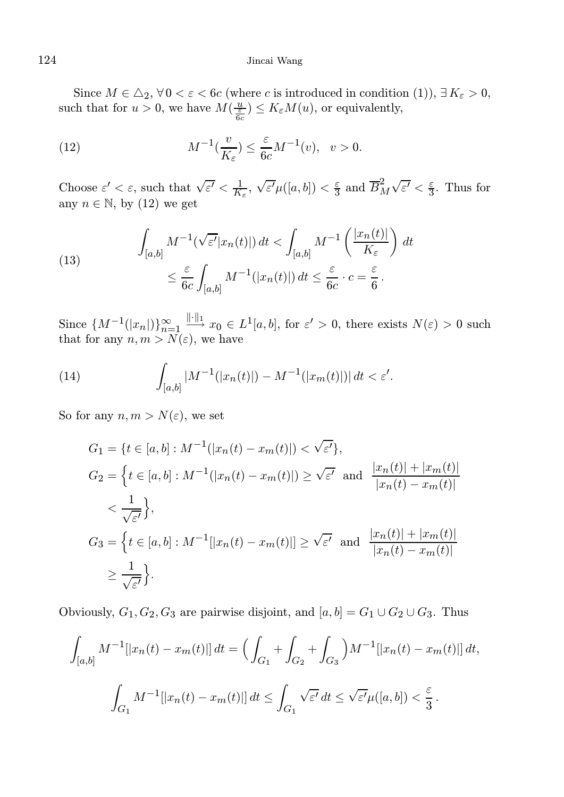Since  $M \in \Delta_2$ ,  $\forall 0 < \varepsilon < 6c$  (where c is introduced in condition (1)),  $\exists K_{\varepsilon} > 0$ , such that for  $u > 0$ , we have  $M(\frac{u}{\epsilon_G}) \leq K_{\epsilon}M(u)$ , or equivalently,

(12) 
$$
M^{-1}(\frac{v}{K_{\varepsilon}}) \leq \frac{\varepsilon}{6c} M^{-1}(v), \quad v > 0.
$$

Choose  $\varepsilon' < \varepsilon$ , such that  $\sqrt{\varepsilon'} < \frac{1}{K_{\varepsilon}}$ ,  $\sqrt{\varepsilon'}\mu([a, b]) < \frac{\varepsilon}{3}$  and  $\overline{B}_M^2 \sqrt{\varepsilon'} < \frac{\varepsilon}{3}$ . Thus for any  $n \in \mathbb{N}$ , by (12) we get

(13) 
$$
\int_{[a,b]} M^{-1}(\sqrt{\varepsilon'}|x_n(t)|) dt < \int_{[a,b]} M^{-1} \left( \frac{|x_n(t)|}{K_{\varepsilon}} \right) dt
$$

$$
\leq \frac{\varepsilon}{6c} \int_{[a,b]} M^{-1}(|x_n(t)|) dt \leq \frac{\varepsilon}{6c} \cdot c = \frac{\varepsilon}{6}.
$$

Since  $\{M^{-1}(|x_n|)\}_{n=1}^{\infty}$   $\xrightarrow{||\cdot||_1} x_0 \in L^1[a, b],$  for  $\varepsilon' > 0$ , there exists  $N(\varepsilon) > 0$  such that for any  $n, m > N(\varepsilon)$ , we have

(14) 
$$
\int_{[a,b]} |M^{-1}(|x_n(t)|) - M^{-1}(|x_m(t)|)| dt < \varepsilon'.
$$

So for any  $n, m > N(\varepsilon)$ , we set

$$
G_1 = \{t \in [a, b] : M^{-1}(|x_n(t) - x_m(t)|) < \sqrt{\varepsilon'}\},\
$$
  
\n
$$
G_2 = \{t \in [a, b] : M^{-1}(|x_n(t) - x_m(t)|) \ge \sqrt{\varepsilon'} \text{ and } \frac{|x_n(t)| + |x_m(t)|}{|x_n(t) - x_m(t)|} < \frac{1}{\sqrt{\varepsilon'}}\},\
$$
  
\n
$$
G_3 = \{t \in [a, b] : M^{-1}(|x_n(t) - x_m(t)|] \ge \sqrt{\varepsilon'} \text{ and } \frac{|x_n(t)| + |x_m(t)|}{|x_n(t) - x_m(t)|} < \frac{1}{\sqrt{\varepsilon'}}\}.
$$

Obviously,  $G_1, G_2, G_3$  are pairwise disjoint, and  $[a, b] = G_1 \cup G_2 \cup G_3$ . Thus

$$
\int_{[a,b]} M^{-1} [|x_n(t) - x_m(t)|] dt = \left( \int_{G_1} + \int_{G_2} + \int_{G_3} \right) M^{-1} [|x_n(t) - x_m(t)|] dt,
$$
  

$$
\int_{G_1} M^{-1} [|x_n(t) - x_m(t)|] dt \le \int_{G_1} \sqrt{\varepsilon'} dt \le \sqrt{\varepsilon'} \mu([a,b]) < \frac{\varepsilon}{3}.
$$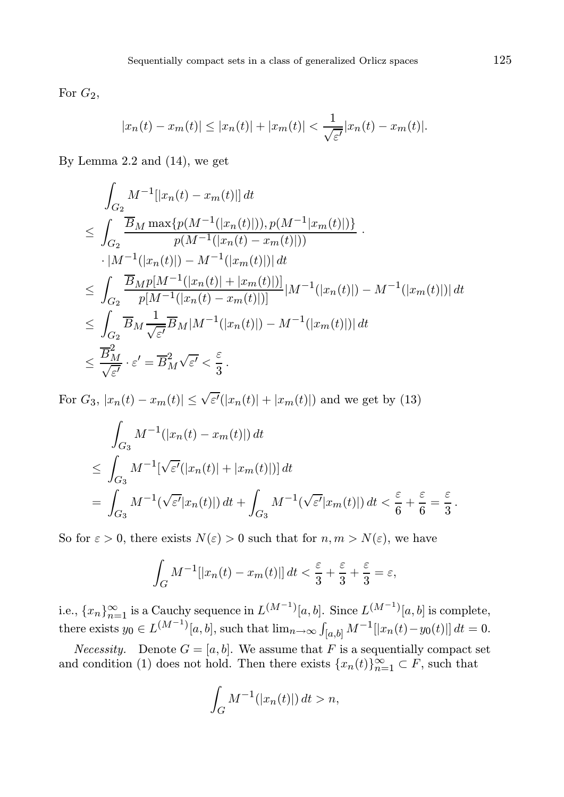For  $G_2$ ,

$$
|x_n(t) - x_m(t)| \le |x_n(t)| + |x_m(t)| < \frac{1}{\sqrt{\varepsilon'}} |x_n(t) - x_m(t)|.
$$

By Lemma 2.2 and (14), we get

$$
\int_{G_2} M^{-1} [|x_n(t) - x_m(t)|] dt
$$
\n
$$
\leq \int_{G_2} \frac{\overline{B}_M \max\{p(M^{-1}(|x_n(t)|)), p(M^{-1}|x_m(t)|)\}}{p(M^{-1}(|x_n(t) - x_m(t)|))}.
$$
\n
$$
\cdot |M^{-1}(|x_n(t)|) - M^{-1}(|x_m(t)|) | dt
$$
\n
$$
\leq \int_{G_2} \frac{\overline{B}_M p[M^{-1}(|x_n(t)| + |x_m(t)|)]}{p[M^{-1}(|x_n(t) - x_m(t)|)]} |M^{-1}(|x_n(t)|) - M^{-1}(|x_m(t)|) | dt
$$
\n
$$
\leq \int_{G_2} \overline{B}_M \frac{1}{\sqrt{\varepsilon'}} \overline{B}_M |M^{-1}(|x_n(t)|) - M^{-1}(|x_m(t)|) | dt
$$
\n
$$
\leq \frac{\overline{B}_M^2}{\sqrt{\varepsilon'}} \cdot \varepsilon' = \overline{B}_M^2 \sqrt{\varepsilon'} < \frac{\varepsilon}{3}.
$$

For  $G_3$ ,  $|x_n(t) - x_m(t)| \le \sqrt{\varepsilon'}(|x_n(t)| + |x_m(t)|)$  and we get by (13)

$$
\int_{G_3} M^{-1}(|x_n(t) - x_m(t)|) dt
$$
\n
$$
\leq \int_{G_3} M^{-1}[\sqrt{\varepsilon'}(|x_n(t)| + |x_m(t)|)] dt
$$
\n
$$
= \int_{G_3} M^{-1}(\sqrt{\varepsilon'}|x_n(t)|) dt + \int_{G_3} M^{-1}(\sqrt{\varepsilon'}|x_m(t)|) dt < \frac{\varepsilon}{6} + \frac{\varepsilon}{6} = \frac{\varepsilon}{3}.
$$

So for  $\varepsilon > 0$ , there exists  $N(\varepsilon) > 0$  such that for  $n, m > N(\varepsilon)$ , we have

$$
\int_G M^{-1}[[x_n(t) - x_m(t)]] dt < \frac{\varepsilon}{3} + \frac{\varepsilon}{3} + \frac{\varepsilon}{3} = \varepsilon,
$$

i.e.,  $\{x_n\}_{n=1}^{\infty}$  is a Cauchy sequence in  $L^{(M^{-1})}[a, b]$ . Since  $L^{(M^{-1})}[a, b]$  is complete, there exists  $y_0 \in L^{(M^{-1})}[a, b]$ , such that  $\lim_{n \to \infty} \int_{[a, b]} M^{-1}[x_n(t) - y_0(t)] dt = 0$ .

*Necessity.* Denote  $G = [a, b]$ . We assume that F is a sequentially compact set and condition (1) does not hold. Then there exists  $\{x_n(t)\}_{n=1}^{\infty} \subset F$ , such that

$$
\int_G M^{-1}(|x_n(t)|) dt > n,
$$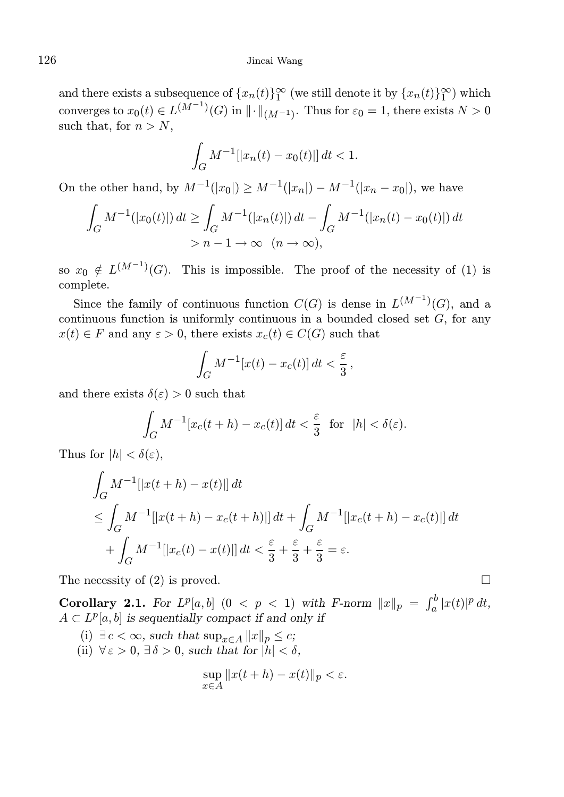and there exists a subsequence of  $\{x_n(t)\}_{1}^{\infty}$  (we still denote it by  $\{x_n(t)\}_{1}^{\infty}$ ) which converges to  $x_0(t) \in L^{(M^{-1})}(G)$  in  $\|\cdot\|_{(M^{-1})}$ . Thus for  $\varepsilon_0 = 1$ , there exists  $N > 0$ such that, for  $n > N$ ,

$$
\int_G M^{-1}[|x_n(t) - x_0(t)|] dt < 1.
$$

On the other hand, by  $M^{-1}(|x_0|) \ge M^{-1}(|x_n|) - M^{-1}(|x_n - x_0|)$ , we have

$$
\int_G M^{-1}(|x_0(t)|) dt \ge \int_G M^{-1}(|x_n(t)|) dt - \int_G M^{-1}(|x_n(t) - x_0(t)|) dt
$$
  
>  $n - 1 \to \infty$   $(n \to \infty),$ 

so  $x_0 \notin L^{(M^{-1})}(G)$ . This is impossible. The proof of the necessity of (1) is complete.

Since the family of continuous function  $C(G)$  is dense in  $L^{(M^{-1})}(G)$ , and a continuous function is uniformly continuous in a bounded closed set  $G$ , for any  $x(t) \in F$  and any  $\varepsilon > 0$ , there exists  $x_c(t) \in C(G)$  such that

$$
\int_G M^{-1}[x(t) - x_c(t)] dt < \frac{\varepsilon}{3},
$$

and there exists  $\delta(\varepsilon) > 0$  such that

$$
\int_G M^{-1}[x_c(t+h) - x_c(t)] dt < \frac{\varepsilon}{3} \text{ for } |h| < \delta(\varepsilon).
$$

Thus for  $|h| < \delta(\varepsilon)$ ,

$$
\int_G M^{-1} [|x(t+h) - x(t)|] dt
$$
\n
$$
\leq \int_G M^{-1} [|x(t+h) - x_c(t+h)|] dt + \int_G M^{-1} [|x_c(t+h) - x_c(t)|] dt
$$
\n
$$
+ \int_G M^{-1} [|x_c(t) - x(t)|] dt < \frac{\varepsilon}{3} + \frac{\varepsilon}{3} + \frac{\varepsilon}{3} = \varepsilon.
$$

The necessity of (2) is proved.  $\square$ 

Corollary 2.1. For  $L^p[a,b]$   $(0 < p < 1)$  with F-norm  $||x||_p = \int_a^b |x(t)|^p dt$ ,  $A\subset L^p[a,b]$  is sequentially compact if and only if

- (i)  $\exists c < \infty$ , such that  $\sup_{x \in A} ||x||_p \leq c$ ;
- (ii)  $\forall \varepsilon > 0$ ,  $\exists \delta > 0$ , such that for  $|h| < \delta$ ,

$$
\sup_{x \in A} \|x(t+h) - x(t)\|_p < \varepsilon.
$$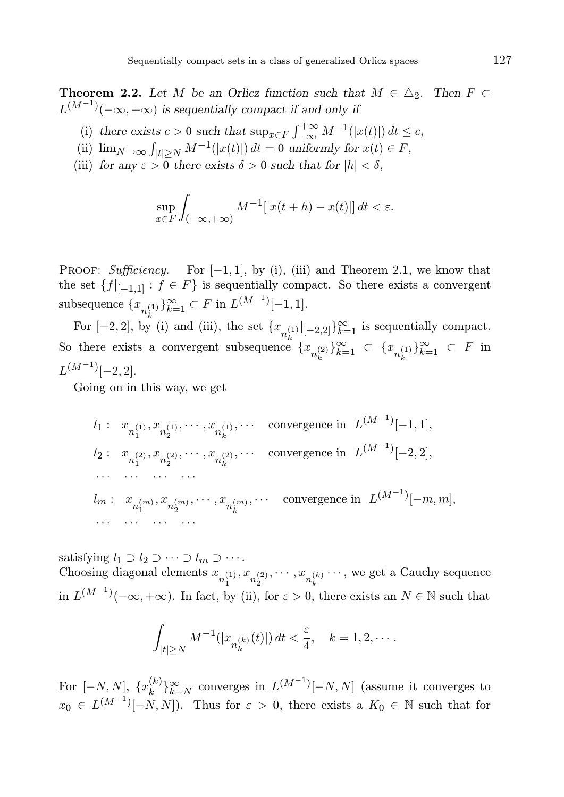**Theorem 2.2.** Let M be an Orlicz function such that  $M \in \Delta_2$ . Then  $F \subset$  $L^{(M^{-1})}(-\infty,+\infty)$  is sequentially compact if and only if

- (i) there exists  $c > 0$  such that  $\sup_{x \in F} \int_{-\infty}^{+\infty} M^{-1}(|x(t)|) dt \le c$ ,
- (ii)  $\lim_{N \to \infty} \int_{|t| \ge N} M^{-1}(|x(t)|) dt = 0$  uniformly for  $x(t) \in F$ ,
- (iii) for any  $\varepsilon > 0$  there exists  $\delta > 0$  such that for  $|h| < \delta$ ,

$$
\sup_{x \in F} \int_{(-\infty, +\infty)} M^{-1} [|x(t+h) - x(t)|] dt < \varepsilon.
$$

PROOF: Sufficiency. For  $[-1, 1]$ , by (i), (iii) and Theorem 2.1, we know that the set  ${f|_{[-1,1]} : f \in F}$  is sequentially compact. So there exists a convergent subsequence  ${x_{n_k^{(1)}}}_{k=1}^{\infty} \subset F$  in  $L^{(M^{-1})}[-1,1]$ .

For  $[-2, 2]$ , by (i) and (iii), the set  $\{x_{n_k}^{(1)}|_{[-2,2]}\}_{k=1}^{\infty}$  is sequentially compact. So there exists a convergent subsequence  ${x_{n_k}^{(2)}}_{k=1}^{\infty} \subset {x_{n_k}^{(1)}}_{k=1}^{\infty} \subset F$  in  $L^{(M^{-1})}[-2,2].$ 

Going on in this way, we get

 $l_1: x_{n_1^{(1)},n_2^{(1)},\cdots,n_k^{(1)},\cdots}$  convergence in  $L^{(M^{-1})}[-1,1],$  $l_2: x_{n_1^{(2)}, x_{n_2^{(2)}}, \cdots, x_{n_k^{(2)}}, \cdots}$  convergence in  $L^{(M^{-1})}[-2, 2]$ , · · · · · · · · · · · ·  $l_m: x_{n_1^{(m)}}, x_{n_2^{(m)}}, \cdots, x_{n_k^{(m)}}, \cdots$  convergence in  $L^{(M^{-1})}[-m, m],$ · · · · · · · · · · · ·

satisfying  $l_1 \supset l_2 \supset \cdots \supset l_m \supset \cdots$ . Choosing diagonal elements  $x_{n_1^{(1)}}, x_{n_2^{(2)}}, \dots, x_{n_k^{(k)}} \dots$ , we get a Cauchy sequence in  $L^{(M^{-1})}(-\infty, +\infty)$ . In fact, by (ii), for  $\varepsilon > 0$ , there exists an  $N \in \mathbb{N}$  such that

$$
\int_{|t| \ge N} M^{-1}(|x_{n_k(k)}(t)|) dt < \frac{\varepsilon}{4}, \quad k = 1, 2, \dots
$$

For  $[-N, N], \{x_k^{(k)}\}$  ${k \choose k}$ <sub>k=N</sub> converges in  $L^{(M^{-1})}[-N, N]$  (assume it converges to  $x_0 \in L^{(M^{-1})}[-N, N]$ . Thus for  $\varepsilon > 0$ , there exists a  $K_0 \in \mathbb{N}$  such that for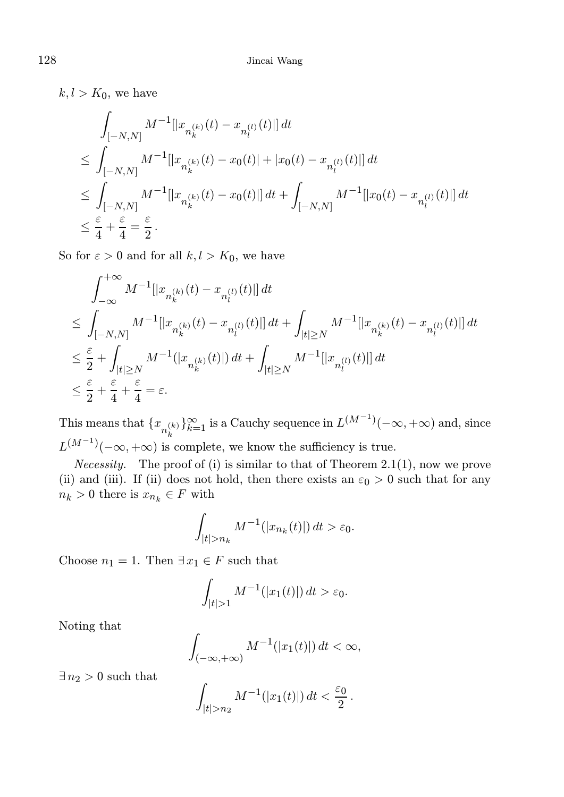$k, l > K_0$ , we have

$$
\int_{[-N,N]} M^{-1} [|x_{n_k^{(k)}}(t) - x_{n_l^{(l)}}(t)] dt
$$
\n
$$
\leq \int_{[-N,N]} M^{-1} [|x_{n_k^{(k)}}(t) - x_0(t)| + |x_0(t) - x_{n_l^{(l)}}(t)|] dt
$$
\n
$$
\leq \int_{[-N,N]} M^{-1} [|x_{n_k^{(k)}}(t) - x_0(t)|] dt + \int_{[-N,N]} M^{-1} [|x_0(t) - x_{n_l^{(l)}}(t)|] dt
$$
\n
$$
\leq \frac{\varepsilon}{4} + \frac{\varepsilon}{4} = \frac{\varepsilon}{2}.
$$

So for  $\varepsilon > 0$  and for all  $k, l > K_0$ , we have

$$
\begin{aligned} &\int_{-\infty}^{+\infty}M^{-1}[|x_{n_k^{(k)}}(t)-x_{n_l^{(l)}}(t)|]\,dt\\ &\leq \int_{[-N,N]}M^{-1}[|x_{n_k^{(k)}}(t)-x_{n_l^{(l)}}(t)|]\,dt+\int_{|t|\geq N}M^{-1}[|x_{n_k^{(k)}}(t)-x_{n_l^{(l)}}(t)|]\,dt\\ &\leq \frac{\varepsilon}{2}+\int_{|t|\geq N}M^{-1}(|x_{n_k^{(k)}}(t)|)\,dt+\int_{|t|\geq N}M^{-1}[|x_{n_l^{(l)}}(t)|]\,dt\\ &\leq \frac{\varepsilon}{2}+\frac{\varepsilon}{4}+\frac{\varepsilon}{4}=\varepsilon. \end{aligned}
$$

This means that  ${x_{n_k(k)}_{k=1}^{\infty}}$  is a Cauchy sequence in  $L^{(M^{-1})}(-\infty, +\infty)$  and, since  $L^{(M^{-1})}(-\infty, +\infty)$  is complete, we know the sufficiency is true.

*Necessity.* The proof of (i) is similar to that of Theorem 2.1(1), now we prove (ii) and (iii). If (ii) does not hold, then there exists an  $\varepsilon_0 > 0$  such that for any  $n_k > 0$  there is  $x_{n_k} \in F$  with

$$
\int_{|t|>n_k} M^{-1}(|x_{n_k}(t)|) dt > \varepsilon_0.
$$

Choose  $n_1 = 1$ . Then  $\exists x_1 \in F$  such that

$$
\int_{|t|>1} M^{-1}(|x_1(t)|) dt > \varepsilon_0.
$$

Noting that

$$
\int_{(-\infty,+\infty)} M^{-1}(|x_1(t)|) dt < \infty,
$$

 $\exists n_2 > 0$  such that

$$
\int_{|t|>n_2} M^{-1}(|x_1(t)|) dt < \frac{\varepsilon_0}{2}.
$$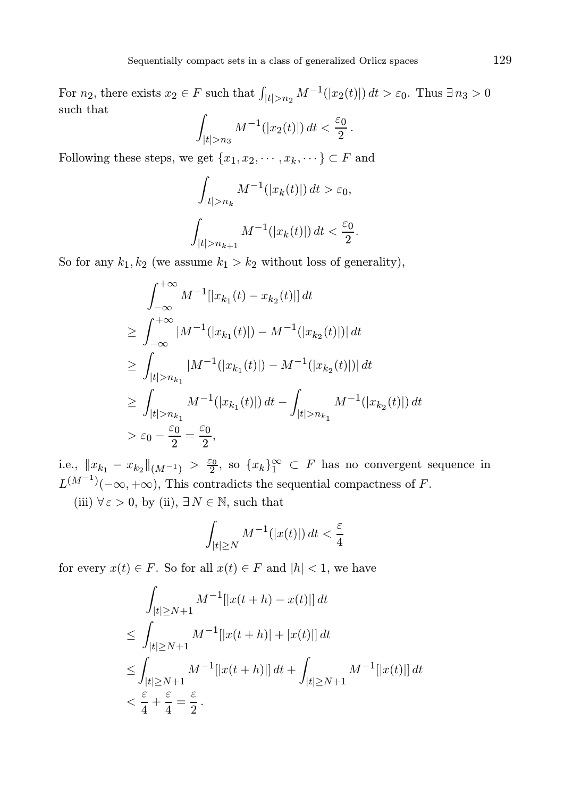For  $n_2$ , there exists  $x_2 \in F$  such that  $\int_{|t|>n_2} M^{-1}(|x_2(t)|) dt > \varepsilon_0$ . Thus  $\exists n_3 > 0$ such that

$$
\int_{|t|>n_3} M^{-1}(|x_2(t)|) dt < \frac{\varepsilon_0}{2}.
$$

Following these steps, we get  $\{x_1, x_2, \cdots, x_k, \cdots\} \subset F$  and

$$
\int_{|t|>n_k} M^{-1}(|x_k(t)|) dt > \varepsilon_0,
$$
  

$$
\int_{|t|>n_{k+1}} M^{-1}(|x_k(t)|) dt < \frac{\varepsilon_0}{2}.
$$

So for any  $k_1, k_2$  (we assume  $k_1 > k_2$  without loss of generality),

$$
\int_{-\infty}^{+\infty} M^{-1} [|x_{k_1}(t) - x_{k_2}(t)|] dt
$$
  
\n
$$
\geq \int_{-\infty}^{+\infty} |M^{-1}(|x_{k_1}(t)|) - M^{-1}(|x_{k_2}(t)|)| dt
$$
  
\n
$$
\geq \int_{|t| > n_{k_1}} |M^{-1}(|x_{k_1}(t)|) - M^{-1}(|x_{k_2}(t)|)| dt
$$
  
\n
$$
\geq \int_{|t| > n_{k_1}} M^{-1}(|x_{k_1}(t)|) dt - \int_{|t| > n_{k_1}} M^{-1}(|x_{k_2}(t)|) dt
$$
  
\n
$$
> \varepsilon_0 - \frac{\varepsilon_0}{2} = \frac{\varepsilon_0}{2},
$$

i.e.,  $||x_{k_1} - x_{k_2}||_{(M^{-1})} > \frac{\varepsilon_0}{2}$ , so  $\{x_k\}_{1}^{\infty} \subset F$  has no convergent sequence in  $L^{(M^{-1})}(-\infty, +\infty)$ , This contradicts the sequential compactness of F.

(iii)  $\forall \varepsilon > 0$ , by (ii),  $\exists N \in \mathbb{N}$ , such that

$$
\int_{|t| \ge N} M^{-1}(|x(t)|) dt < \frac{\varepsilon}{4}
$$

for every  $x(t) \in F$ . So for all  $x(t) \in F$  and  $|h| < 1$ , we have

$$
\int_{|t| \ge N+1} M^{-1} [|x(t+h) - x(t)]| dt
$$
\n
$$
\le \int_{|t| \ge N+1} M^{-1} [|x(t+h)| + |x(t)|] dt
$$
\n
$$
\le \int_{|t| \ge N+1} M^{-1} [|x(t+h)|] dt + \int_{|t| \ge N+1} M^{-1} [|x(t)|] dt
$$
\n
$$
< \frac{\varepsilon}{4} + \frac{\varepsilon}{4} = \frac{\varepsilon}{2}.
$$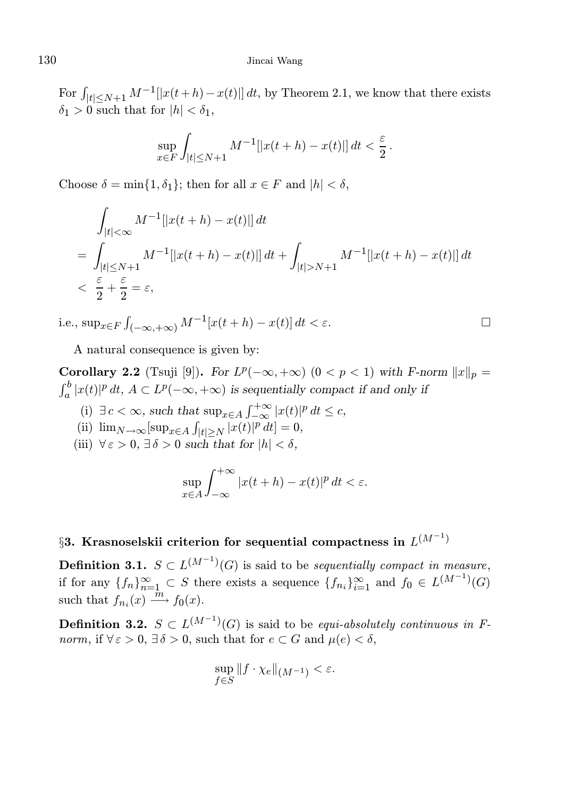## 130 Jincai Wang

For  $\int_{|t| \le N+1} M^{-1} [|x(t+h) - x(t)|] dt$ , by Theorem 2.1, we know that there exists  $\delta_1 > 0$  such that for  $|h| < \delta_1$ ,

$$
\sup_{x \in F} \int_{|t| \le N+1} M^{-1} [|x(t+h) - x(t)|] dt < \frac{\varepsilon}{2}.
$$

Choose  $\delta = \min\{1, \delta_1\}$ ; then for all  $x \in F$  and  $|h| < \delta$ ,

$$
\int_{|t| < \infty} M^{-1} [|x(t+h) - x(t)|] dt
$$
\n
$$
= \int_{|t| \le N+1} M^{-1} [|x(t+h) - x(t)|] dt + \int_{|t| > N+1} M^{-1} [|x(t+h) - x(t)|] dt
$$
\n
$$
< \frac{\varepsilon}{2} + \frac{\varepsilon}{2} = \varepsilon,
$$

i.e.,  $\sup_{x \in F} \int_{(-\infty, +\infty)} M^{-1}[x(t+h) - x(t)] dt < \varepsilon$ .

A natural consequence is given by:

**Corollary 2.2** (Tsuji [9]). For  $L^p(-\infty, +\infty)$   $(0 < p < 1)$  with F-norm  $||x||_p =$  $\int_a^b |x(t)|^p \, dt$  ,  $A \subset L^p(-\infty, +\infty)$  is sequentially compact if and only if

- (i)  $\exists c < \infty$ , such that  $\sup_{x \in A} \int_{-\infty}^{+\infty} |x(t)|^p dt \le c$ ,
- (ii)  $\lim_{N \to \infty} [\sup_{x \in A} \int_{|t| \ge N} |x(t)|^p dt] = 0,$
- (iii)  $\forall \varepsilon > 0$ ,  $\exists \delta > 0$  such that for  $|h| < \delta$ ,

$$
\sup_{x \in A} \int_{-\infty}^{+\infty} |x(t+h) - x(t)|^p dt < \varepsilon.
$$

# $\S 3.$  Krasnoselskii criterion for sequential compactness in  $L^{(M^{-1})}$

**Definition 3.1.**  $S \subset L^{(M^{-1})}(G)$  is said to be *sequentially compact in measure*, if for any  ${f_n}_{n=1}^{\infty} \subset S$  there exists a sequence  ${f_{n_i}}_{i=1}^{\infty}$  and  $f_0 \in L^{(M^{-1})}(G)$ such that  $f_{n_i}(x) \xrightarrow{\hat{m}} f_0(x)$ .

**Definition 3.2.**  $S \subset L^{(M^{-1})}(G)$  is said to be *equi-absolutely continuous in F*norm, if  $\forall \varepsilon > 0$ ,  $\exists \delta > 0$ , such that for  $e \subset G$  and  $\mu(e) < \delta$ ,

$$
\sup_{f\in S} \|f\cdot \chi_e\|_{(M^{-1})} < \varepsilon.
$$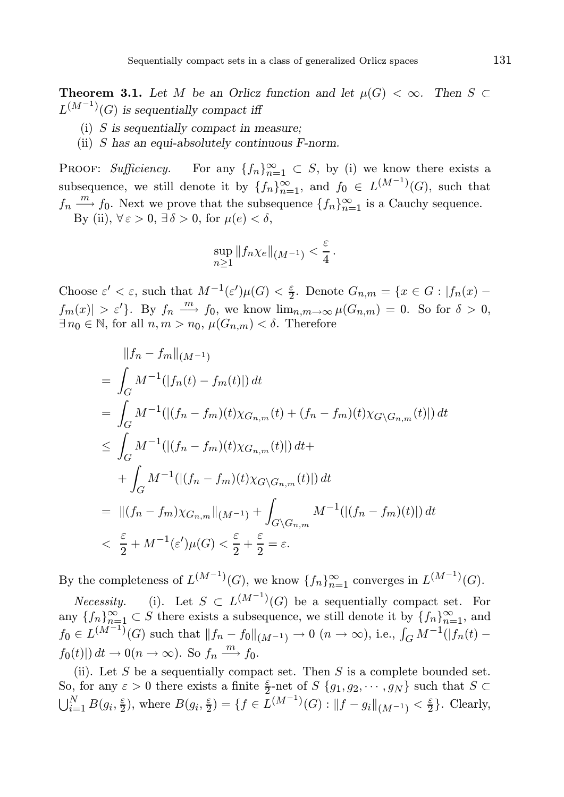**Theorem 3.1.** Let M be an Orlicz function and let  $\mu(G) < \infty$ . Then S ⊂  $L^{(M^{-1})}(G)$  is sequentially compact iff

- (i) S is sequentially compact in measure;
- (ii) S has an equi-absolutely continuous F-norm.

PROOF: Sufficiency. For any  ${f_n}_{n=1}^{\infty} \subset S$ , by (i) we know there exists a subsequence, we still denote it by  ${f_n}_{n=1}^{\infty}$ , and  $f_0 \in L^{(M^{-1})}(G)$ , such that  $f_n \xrightarrow{m} f_0$ . Next we prove that the subsequence  $\{f_n\}_{n=1}^{\infty}$  is a Cauchy sequence. By (ii),  $\forall \varepsilon > 0$ ,  $\exists \delta > 0$ , for  $\mu(e) < \delta$ ,

$$
\sup_{n\geq 1} \|f_n\chi_e\|_{(M^{-1})} < \frac{\varepsilon}{4}.
$$

Choose  $\varepsilon' < \varepsilon$ , such that  $M^{-1}(\varepsilon')\mu(G) < \frac{\varepsilon}{2}$ . Denote  $G_{n,m} = \{x \in G : |f_n(x)$  $f_m(x)| > \varepsilon'$ . By  $f_n \stackrel{m}{\longrightarrow} f_0$ , we know  $\lim_{n,m \to \infty} \mu(G_{n,m}) = 0$ . So for  $\delta > 0$ ,  $\exists n_0 \in \mathbb{N}$ , for all  $n, m > n_0$ ,  $\mu(G_{n,m}) < \delta$ . Therefore

$$
\|f_n - f_m\|_{(M^{-1})}
$$
\n
$$
= \int_G M^{-1}(|f_n(t) - f_m(t)|) dt
$$
\n
$$
= \int_G M^{-1}(|(f_n - f_m)(t)\chi_{G_{n,m}}(t) + (f_n - f_m)(t)\chi_{G\setminus G_{n,m}}(t)|) dt
$$
\n
$$
\leq \int_G M^{-1}(|(f_n - f_m)(t)\chi_{G_{n,m}}(t)|) dt +
$$
\n
$$
+ \int_G M^{-1}(|(f_n - f_m)(t)\chi_{G\setminus G_{n,m}}(t)|) dt
$$
\n
$$
= ||(f_n - f_m)\chi_{G_{n,m}}||_{(M^{-1})} + \int_{G\setminus G_{n,m}} M^{-1}(|(f_n - f_m)(t)|) dt
$$
\n
$$
< \frac{\varepsilon}{2} + M^{-1}(\varepsilon')\mu(G) < \frac{\varepsilon}{2} + \frac{\varepsilon}{2} = \varepsilon.
$$

By the completeness of  $L^{(M^{-1})}(G)$ , we know  $\{f_n\}_{n=1}^{\infty}$  converges in  $L^{(M^{-1})}(G)$ .

*Necessity.* (i). Let  $S \subset L^{(M^{-1})}(G)$  be a sequentially compact set. For any  $\{f_n\}_{n=1}^{\infty} \subset S$  there exists a subsequence, we still denote it by  $\{f_n\}_{n=1}^{\infty}$ , and  $f_0 \in L^{(M-1)}(G)$  such that  $||f_n - f_0||_{(M^{-1})} \to 0$   $(n \to \infty)$ , i.e.,  $\int_G M^{-1}(|f_n(t)$  $f_0(t)|\, dt \to 0$ ( $n \to \infty$ ). So  $f_n \xrightarrow{m} f_0$ .

(ii). Let  $S$  be a sequentially compact set. Then  $S$  is a complete bounded set. So, for any  $\varepsilon > 0$  there exists a finite  $\frac{\varepsilon}{2}$ -net of  $S \{g_1, g_2, \dots, g_N\}$  such that  $S \subset$  $\bigcup_{i=1}^N B(g_i, \frac{\varepsilon}{2}),$  where  $B(g_i, \frac{\varepsilon}{2}) = \{f \in L^{(M^{-1})}(G) : ||f - g_i||_{(M^{-1})} < \frac{\varepsilon}{2}\}.$  Clearly,